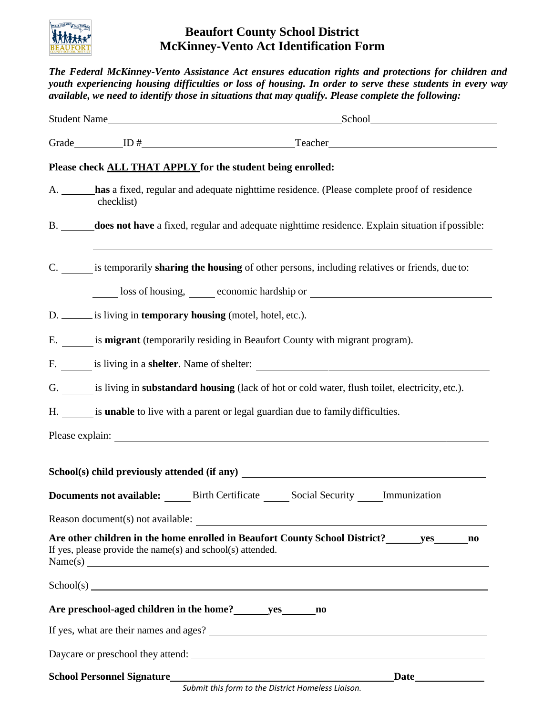

## **Beaufort County School District McKinney-Vento Act Identification Form**

*The Federal McKinney-Vento Assistance Act ensures education rights and protections for children and youth experiencing housing difficulties or loss of housing. In order to serve these students in every way available, we need to identify those in situations that may qualify. Please complete the following:* Student Name School Grade ID # Teacher

## **Please check ALL THAT APPLY for the student being enrolled:**

- A. **has** a fixed, regular and adequate nighttime residence. (Please complete proof of residence checklist)
- B. **does not have** a fixed, regular and adequate nighttime residence. Explain situation ifpossible:
- C. is temporarily **sharing the housing** of other persons, including relatives or friends, due to:

loss of housing, economic hardship or

- D. <u>is living in **temporary** housing</u> (motel, hotel, etc.).
- E. is **migrant** (temporarily residing in Beaufort County with migrant program).
- F. is living in a **shelter**. Name of shelter:
- G. is living in **substandard housing** (lack of hot or cold water, flush toilet, electricity, etc.).
- H. is **unable** to live with a parent or legal guardian due to familydifficulties.

Please explain:

**School(s) child previously attended (if any) Documents not available:** Birth Certificate Social Security Immunization Reason document(s) not available: **Are other children in the home enrolled in Beaufort County School District? yes no** If yes, please provide the name(s) and school(s) attended. Name(s)  $School(s)$ **Are preschool-aged children in the home? yes no** If yes, what are their names and ages? Daycare or preschool they attend: **School Personnel Signature Constant Constant Constant Constant Constant Constant Constant Constant Constant Constant Constant Constant Constant Constant Constant Constant Constant Constant Constant Constant Constant Con**